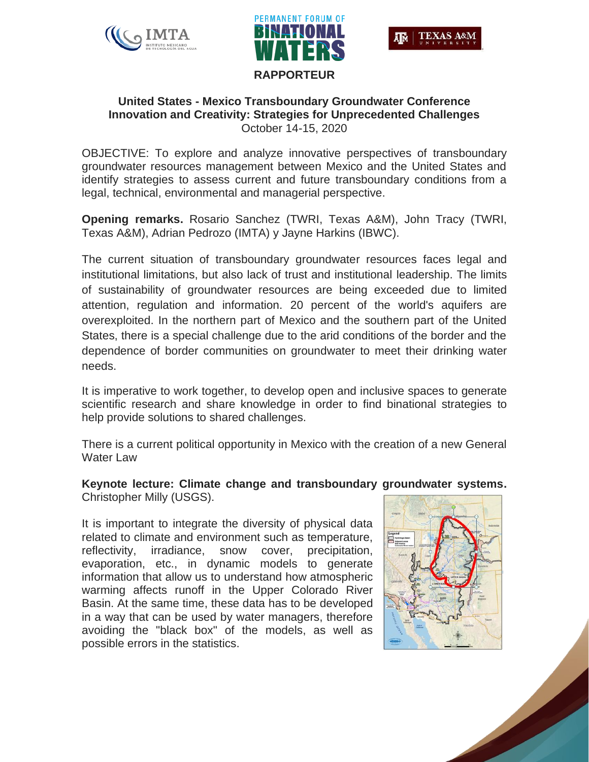





## **United States - Mexico Transboundary Groundwater Conference Innovation and Creativity: Strategies for Unprecedented Challenges** October 14-15, 2020

OBJECTIVE: To explore and analyze innovative perspectives of transboundary groundwater resources management between Mexico and the United States and identify strategies to assess current and future transboundary conditions from a legal, technical, environmental and managerial perspective.

**Opening remarks.** Rosario Sanchez (TWRI, Texas A&M), John Tracy (TWRI, Texas A&M), Adrian Pedrozo (IMTA) y Jayne Harkins (IBWC).

The current situation of transboundary groundwater resources faces legal and institutional limitations, but also lack of trust and institutional leadership. The limits of sustainability of groundwater resources are being exceeded due to limited attention, regulation and information. 20 percent of the world's aquifers are overexploited. In the northern part of Mexico and the southern part of the United States, there is a special challenge due to the arid conditions of the border and the dependence of border communities on groundwater to meet their drinking water needs.

It is imperative to work together, to develop open and inclusive spaces to generate scientific research and share knowledge in order to find binational strategies to help provide solutions to shared challenges.

There is a current political opportunity in Mexico with the creation of a new General Water Law

#### **Keynote lecture: Climate change and transboundary groundwater systems.** Christopher Milly (USGS).

It is important to integrate the diversity of physical data related to climate and environment such as temperature, reflectivity, irradiance, snow cover, precipitation, evaporation, etc., in dynamic models to generate information that allow us to understand how atmospheric warming affects runoff in the Upper Colorado River Basin. At the same time, these data has to be developed in a way that can be used by water managers, therefore avoiding the "black box" of the models, as well as possible errors in the statistics.

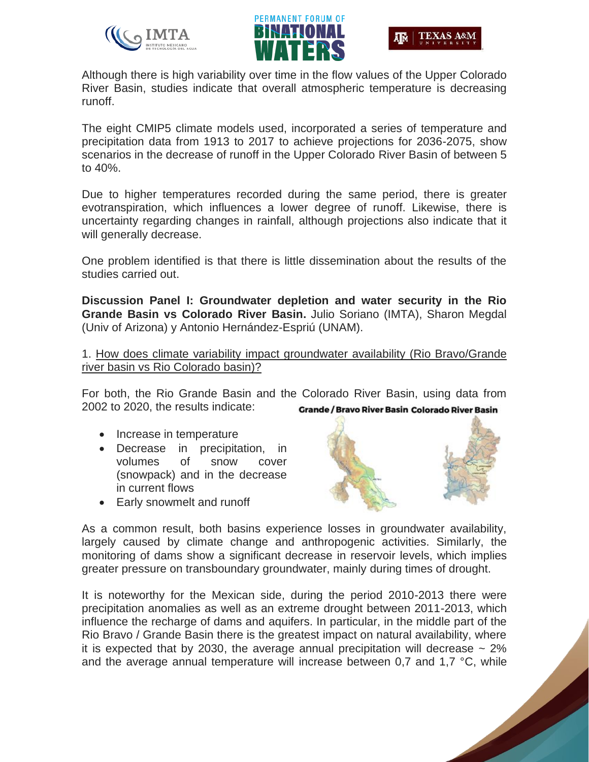





Although there is high variability over time in the flow values of the Upper Colorado River Basin, studies indicate that overall atmospheric temperature is decreasing runoff.

The eight CMIP5 climate models used, incorporated a series of temperature and precipitation data from 1913 to 2017 to achieve projections for 2036-2075, show scenarios in the decrease of runoff in the Upper Colorado River Basin of between 5 to 40%.

Due to higher temperatures recorded during the same period, there is greater evotranspiration, which influences a lower degree of runoff. Likewise, there is uncertainty regarding changes in rainfall, although projections also indicate that it will generally decrease.

One problem identified is that there is little dissemination about the results of the studies carried out.

**Discussion Panel I: Groundwater depletion and water security in the Rio Grande Basin vs Colorado River Basin.** Julio Soriano (IMTA), Sharon Megdal (Univ of Arizona) y Antonio Hernández-Espriú (UNAM).

1. How does climate variability impact groundwater availability (Rio Bravo/Grande river basin vs Rio Colorado basin)?

For both, the Rio Grande Basin and the Colorado River Basin, using data from 2002 to 2020, the results indicate: **Grande / Bravo River Basin Colorado River Basin** 

- Increase in temperature
- Decrease in precipitation, in volumes of snow cover (snowpack) and in the decrease in current flows
- Early snowmelt and runoff



As a common result, both basins experience losses in groundwater availability, largely caused by climate change and anthropogenic activities. Similarly, the monitoring of dams show a significant decrease in reservoir levels, which implies greater pressure on transboundary groundwater, mainly during times of drought.

It is noteworthy for the Mexican side, during the period 2010-2013 there were precipitation anomalies as well as an extreme drought between 2011-2013, which influence the recharge of dams and aquifers. In particular, in the middle part of the Rio Bravo / Grande Basin there is the greatest impact on natural availability, where it is expected that by 2030, the average annual precipitation will decrease  $\sim$  2% and the average annual temperature will increase between 0,7 and 1,7 °C, while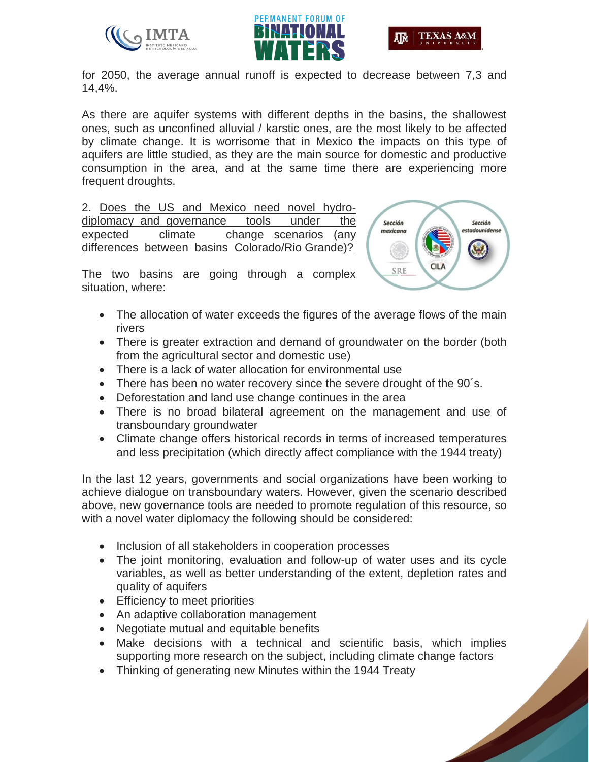





for 2050, the average annual runoff is expected to decrease between 7,3 and 14,4%.

As there are aquifer systems with different depths in the basins, the shallowest ones, such as unconfined alluvial / karstic ones, are the most likely to be affected by climate change. It is worrisome that in Mexico the impacts on this type of aquifers are little studied, as they are the main source for domestic and productive consumption in the area, and at the same time there are experiencing more frequent droughts.

2. Does the US and Mexico need novel hydrodiplomacy and governance tools under the expected climate change scenarios (any differences between basins Colorado/Rio Grande)?



The two basins are going through a complex situation, where:

- The allocation of water exceeds the figures of the average flows of the main rivers
- There is greater extraction and demand of groundwater on the border (both from the agricultural sector and domestic use)
- There is a lack of water allocation for environmental use
- There has been no water recovery since the severe drought of the 90's.
- Deforestation and land use change continues in the area
- There is no broad bilateral agreement on the management and use of transboundary groundwater
- Climate change offers historical records in terms of increased temperatures and less precipitation (which directly affect compliance with the 1944 treaty)

In the last 12 years, governments and social organizations have been working to achieve dialogue on transboundary waters. However, given the scenario described above, new governance tools are needed to promote regulation of this resource, so with a novel water diplomacy the following should be considered:

- Inclusion of all stakeholders in cooperation processes
- The joint monitoring, evaluation and follow-up of water uses and its cycle variables, as well as better understanding of the extent, depletion rates and quality of aquifers
- Efficiency to meet priorities
- An adaptive collaboration management
- Negotiate mutual and equitable benefits
- Make decisions with a technical and scientific basis, which implies supporting more research on the subject, including climate change factors
- Thinking of generating new Minutes within the 1944 Treaty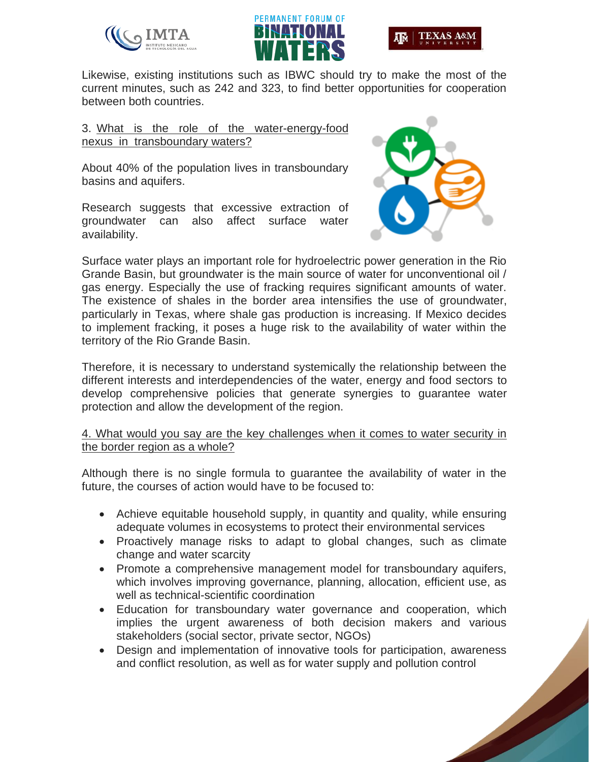





Likewise, existing institutions such as IBWC should try to make the most of the current minutes, such as 242 and 323, to find better opportunities for cooperation between both countries.

#### 3. What is the role of the water-energy-food nexus in transboundary waters?

About 40% of the population lives in transboundary basins and aquifers.

Research suggests that excessive extraction of groundwater can also affect surface water availability.



Surface water plays an important role for hydroelectric power generation in the Rio Grande Basin, but groundwater is the main source of water for unconventional oil / gas energy. Especially the use of fracking requires significant amounts of water. The existence of shales in the border area intensifies the use of groundwater, particularly in Texas, where shale gas production is increasing. If Mexico decides to implement fracking, it poses a huge risk to the availability of water within the territory of the Rio Grande Basin.

Therefore, it is necessary to understand systemically the relationship between the different interests and interdependencies of the water, energy and food sectors to develop comprehensive policies that generate synergies to guarantee water protection and allow the development of the region.

## 4. What would you say are the key challenges when it comes to water security in the border region as a whole?

Although there is no single formula to guarantee the availability of water in the future, the courses of action would have to be focused to:

- Achieve equitable household supply, in quantity and quality, while ensuring adequate volumes in ecosystems to protect their environmental services
- Proactively manage risks to adapt to global changes, such as climate change and water scarcity
- Promote a comprehensive management model for transboundary aquifers, which involves improving governance, planning, allocation, efficient use, as well as technical-scientific coordination
- Education for transboundary water governance and cooperation, which implies the urgent awareness of both decision makers and various stakeholders (social sector, private sector, NGOs)
- Design and implementation of innovative tools for participation, awareness and conflict resolution, as well as for water supply and pollution control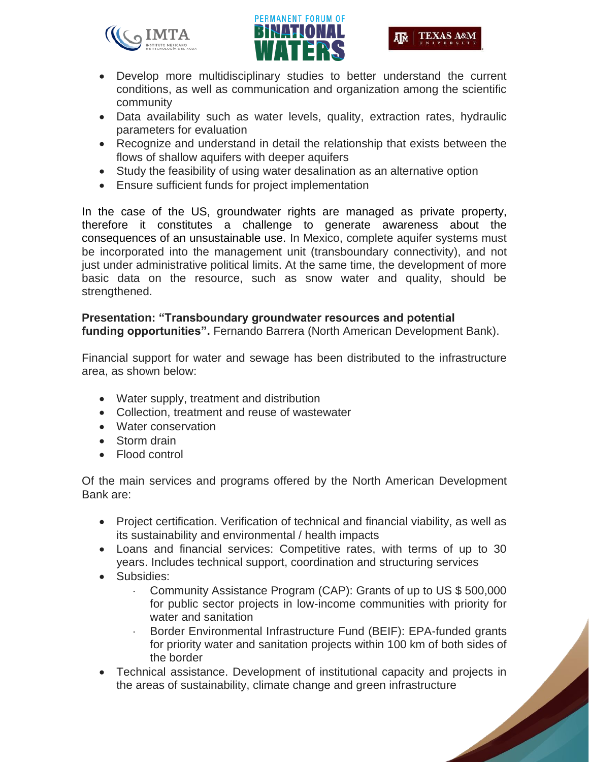



- Develop more multidisciplinary studies to better understand the current conditions, as well as communication and organization among the scientific community
- Data availability such as water levels, quality, extraction rates, hydraulic parameters for evaluation
- Recognize and understand in detail the relationship that exists between the flows of shallow aquifers with deeper aquifers
- Study the feasibility of using water desalination as an alternative option
- Ensure sufficient funds for project implementation

In the case of the US, groundwater rights are managed as private property, therefore it constitutes a challenge to generate awareness about the consequences of an unsustainable use. In Mexico, complete aquifer systems must be incorporated into the management unit (transboundary connectivity), and not just under administrative political limits. At the same time, the development of more basic data on the resource, such as snow water and quality, should be strengthened.

## **Presentation: "Transboundary groundwater resources and potential funding opportunities".** Fernando Barrera (North American Development Bank).

Financial support for water and sewage has been distributed to the infrastructure area, as shown below:

- Water supply, treatment and distribution
- Collection, treatment and reuse of wastewater
- Water conservation
- Storm drain
- Flood control

Of the main services and programs offered by the North American Development Bank are:

- Project certification. Verification of technical and financial viability, as well as its sustainability and environmental / health impacts
- Loans and financial services: Competitive rates, with terms of up to 30 years. Includes technical support, coordination and structuring services
- Subsidies:
	- Community Assistance Program (CAP): Grants of up to US \$ 500,000 for public sector projects in low-income communities with priority for water and sanitation
	- Border Environmental Infrastructure Fund (BEIF): EPA-funded grants for priority water and sanitation projects within 100 km of both sides of the border
- Technical assistance. Development of institutional capacity and projects in the areas of sustainability, climate change and green infrastructure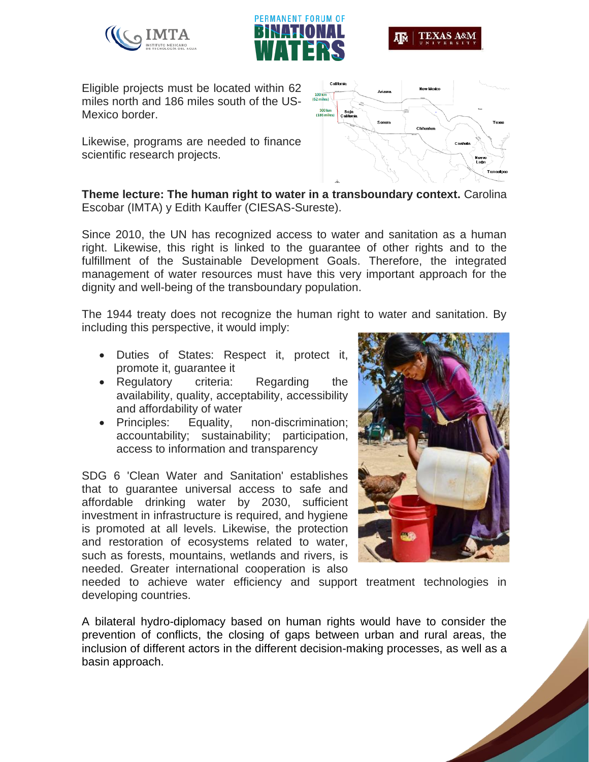





Eligible projects must be located within 62 miles north and 186 miles south of the US-Mexico border.

Likewise, programs are needed to finance scientific research projects.



**Theme lecture: The human right to water in a transboundary context.** Carolina Escobar (IMTA) y Edith Kauffer (CIESAS-Sureste).

Since 2010, the UN has recognized access to water and sanitation as a human right. Likewise, this right is linked to the guarantee of other rights and to the fulfillment of the Sustainable Development Goals. Therefore, the integrated management of water resources must have this very important approach for the dignity and well-being of the transboundary population.

The 1944 treaty does not recognize the human right to water and sanitation. By including this perspective, it would imply:

- Duties of States: Respect it, protect it, promote it, guarantee it
- Regulatory criteria: Regarding the availability, quality, acceptability, accessibility and affordability of water
- Principles: Equality, non-discrimination; accountability; sustainability; participation, access to information and transparency

SDG 6 'Clean Water and Sanitation' establishes that to guarantee universal access to safe and affordable drinking water by 2030, sufficient investment in infrastructure is required, and hygiene is promoted at all levels. Likewise, the protection and restoration of ecosystems related to water, such as forests, mountains, wetlands and rivers, is needed. Greater international cooperation is also



needed to achieve water efficiency and support treatment technologies in developing countries.

A bilateral hydro-diplomacy based on human rights would have to consider the prevention of conflicts, the closing of gaps between urban and rural areas, the inclusion of different actors in the different decision-making processes, as well as a basin approach.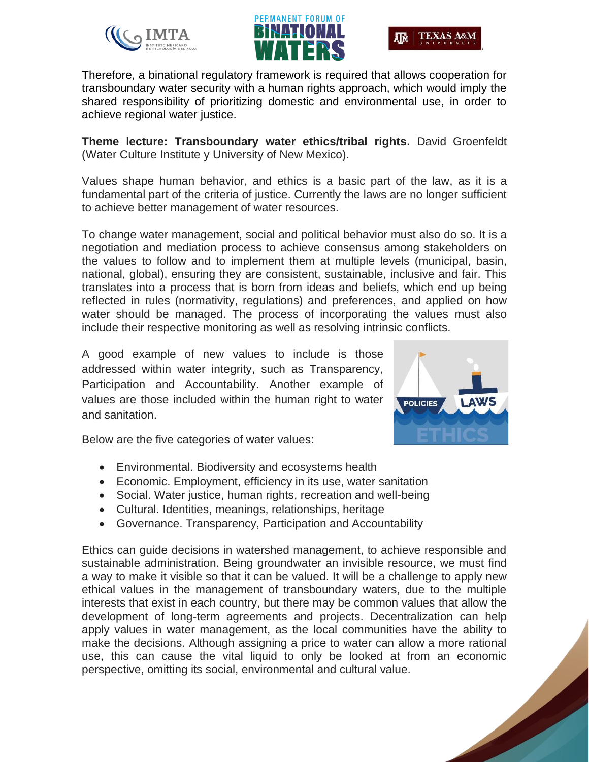





Therefore, a binational regulatory framework is required that allows cooperation for transboundary water security with a human rights approach, which would imply the shared responsibility of prioritizing domestic and environmental use, in order to achieve regional water justice.

**Theme lecture: Transboundary water ethics/tribal rights.** David Groenfeldt (Water Culture Institute y University of New Mexico).

Values shape human behavior, and ethics is a basic part of the law, as it is a fundamental part of the criteria of justice. Currently the laws are no longer sufficient to achieve better management of water resources.

To change water management, social and political behavior must also do so. It is a negotiation and mediation process to achieve consensus among stakeholders on the values to follow and to implement them at multiple levels (municipal, basin, national, global), ensuring they are consistent, sustainable, inclusive and fair. This translates into a process that is born from ideas and beliefs, which end up being reflected in rules (normativity, regulations) and preferences, and applied on how water should be managed. The process of incorporating the values must also include their respective monitoring as well as resolving intrinsic conflicts.

A good example of new values to include is those addressed within water integrity, such as Transparency, Participation and Accountability. Another example of values are those included within the human right to water and sanitation.



Below are the five categories of water values:

- Environmental. Biodiversity and ecosystems health
- Economic. Employment, efficiency in its use, water sanitation
- Social. Water justice, human rights, recreation and well-being
- Cultural. Identities, meanings, relationships, heritage
- Governance. Transparency, Participation and Accountability

Ethics can guide decisions in watershed management, to achieve responsible and sustainable administration. Being groundwater an invisible resource, we must find a way to make it visible so that it can be valued. It will be a challenge to apply new ethical values in the management of transboundary waters, due to the multiple interests that exist in each country, but there may be common values that allow the development of long-term agreements and projects. Decentralization can help apply values in water management, as the local communities have the ability to make the decisions. Although assigning a price to water can allow a more rational use, this can cause the vital liquid to only be looked at from an economic perspective, omitting its social, environmental and cultural value.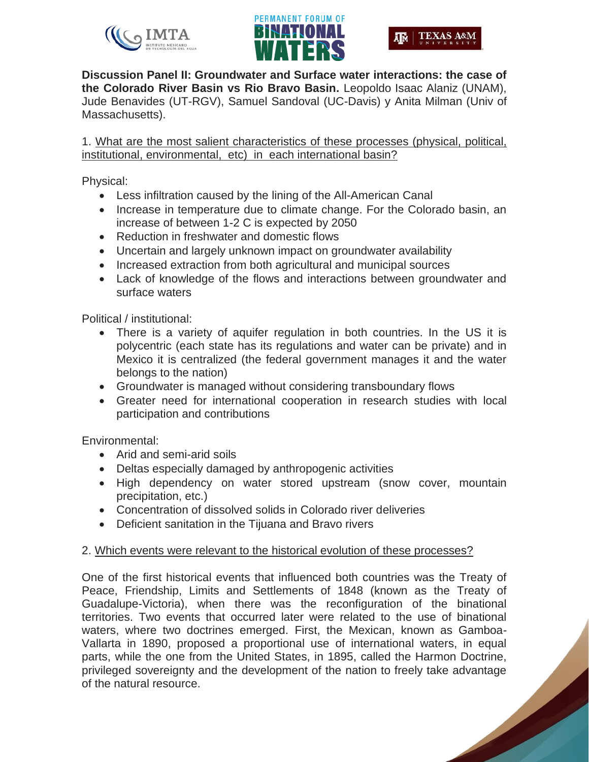





**Discussion Panel II: Groundwater and Surface water interactions: the case of the Colorado River Basin vs Rio Bravo Basin.** Leopoldo Isaac Alaniz (UNAM), Jude Benavides (UT-RGV), Samuel Sandoval (UC-Davis) y Anita Milman (Univ of Massachusetts).

1. What are the most salient characteristics of these processes (physical, political, institutional, environmental, etc) in each international basin?

Physical:

- Less infiltration caused by the lining of the All-American Canal
- Increase in temperature due to climate change. For the Colorado basin, an increase of between 1-2 C is expected by 2050
- Reduction in freshwater and domestic flows
- Uncertain and largely unknown impact on groundwater availability
- Increased extraction from both agricultural and municipal sources
- Lack of knowledge of the flows and interactions between groundwater and surface waters

Political / institutional:

- There is a variety of aquifer regulation in both countries. In the US it is polycentric (each state has its regulations and water can be private) and in Mexico it is centralized (the federal government manages it and the water belongs to the nation)
- Groundwater is managed without considering transboundary flows
- Greater need for international cooperation in research studies with local participation and contributions

Environmental:

- Arid and semi-arid soils
- Deltas especially damaged by anthropogenic activities
- High dependency on water stored upstream (snow cover, mountain precipitation, etc.)
- Concentration of dissolved solids in Colorado river deliveries
- Deficient sanitation in the Tijuana and Bravo rivers

## 2. Which events were relevant to the historical evolution of these processes?

One of the first historical events that influenced both countries was the Treaty of Peace, Friendship, Limits and Settlements of 1848 (known as the Treaty of Guadalupe-Victoria), when there was the reconfiguration of the binational territories. Two events that occurred later were related to the use of binational waters, where two doctrines emerged. First, the Mexican, known as Gamboa-Vallarta in 1890, proposed a proportional use of international waters, in equal parts, while the one from the United States, in 1895, called the Harmon Doctrine, privileged sovereignty and the development of the nation to freely take advantage of the natural resource.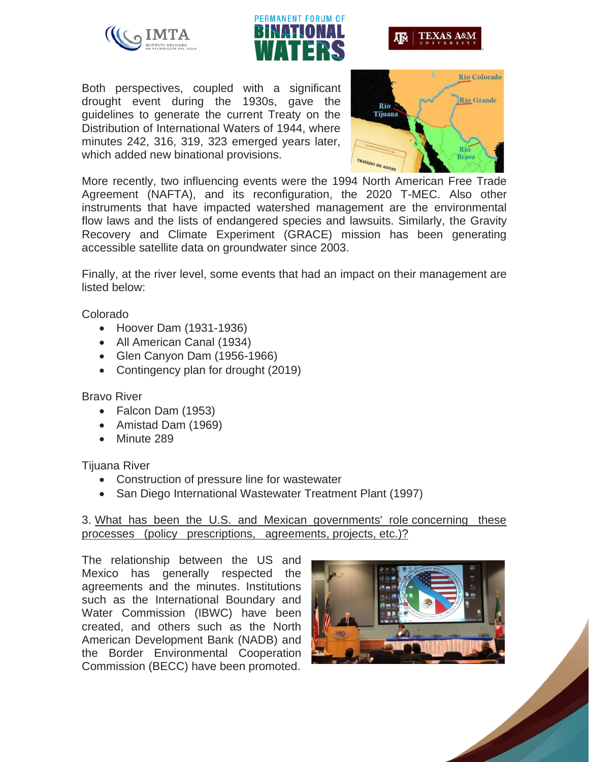





Both perspectives, coupled with a significant drought event during the 1930s, gave the guidelines to generate the current Treaty on the Distribution of International Waters of 1944, where minutes 242, 316, 319, 323 emerged years later, which added new binational provisions.



More recently, two influencing events were the 1994 North American Free Trade Agreement (NAFTA), and its reconfiguration, the 2020 T-MEC. Also other instruments that have impacted watershed management are the environmental flow laws and the lists of endangered species and lawsuits. Similarly, the Gravity Recovery and Climate Experiment (GRACE) mission has been generating accessible satellite data on groundwater since 2003.

Finally, at the river level, some events that had an impact on their management are listed below:

Colorado

- Hoover Dam (1931-1936)
- All American Canal (1934)
- Glen Canyon Dam (1956-1966)
- Contingency plan for drought (2019)

## Bravo River

- Falcon Dam (1953)
- Amistad Dam (1969)
- Minute 289

Tijuana River

- Construction of pressure line for wastewater
- San Diego International Wastewater Treatment Plant (1997)

## 3. What has been the U.S. and Mexican governments' role concerning these processes (policy prescriptions, agreements, projects, etc.)?

The relationship between the US and Mexico has generally respected the agreements and the minutes. Institutions such as the International Boundary and Water Commission (IBWC) have been created, and others such as the North American Development Bank (NADB) and the Border Environmental Cooperation Commission (BECC) have been promoted.

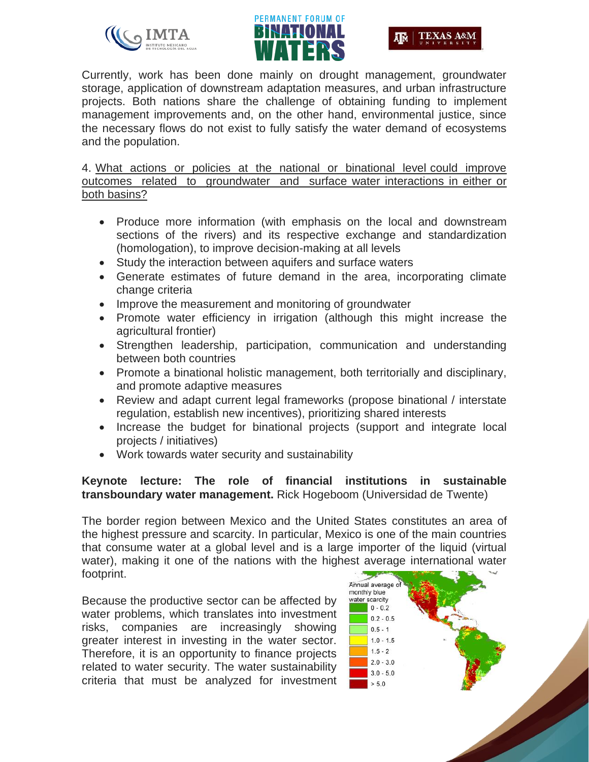





Currently, work has been done mainly on drought management, groundwater storage, application of downstream adaptation measures, and urban infrastructure projects. Both nations share the challenge of obtaining funding to implement management improvements and, on the other hand, environmental justice, since the necessary flows do not exist to fully satisfy the water demand of ecosystems and the population.

4. What actions or policies at the national or binational level could improve outcomes related to groundwater and surface water interactions in either or both basins?

- Produce more information (with emphasis on the local and downstream sections of the rivers) and its respective exchange and standardization (homologation), to improve decision-making at all levels
- Study the interaction between aquifers and surface waters
- Generate estimates of future demand in the area, incorporating climate change criteria
- Improve the measurement and monitoring of groundwater
- Promote water efficiency in irrigation (although this might increase the agricultural frontier)
- Strengthen leadership, participation, communication and understanding between both countries
- Promote a binational holistic management, both territorially and disciplinary, and promote adaptive measures
- Review and adapt current legal frameworks (propose binational / interstate regulation, establish new incentives), prioritizing shared interests
- Increase the budget for binational projects (support and integrate local projects / initiatives)
- Work towards water security and sustainability

## **Keynote lecture: The role of financial institutions in sustainable transboundary water management.** Rick Hogeboom (Universidad de Twente)

The border region between Mexico and the United States constitutes an area of the highest pressure and scarcity. In particular, Mexico is one of the main countries that consume water at a global level and is a large importer of the liquid (virtual water), making it one of the nations with the highest average international water footprint.

Because the productive sector can be affected by water problems, which translates into investment risks, companies are increasingly showing greater interest in investing in the water sector. Therefore, it is an opportunity to finance projects related to water security. The water sustainability criteria that must be analyzed for investment

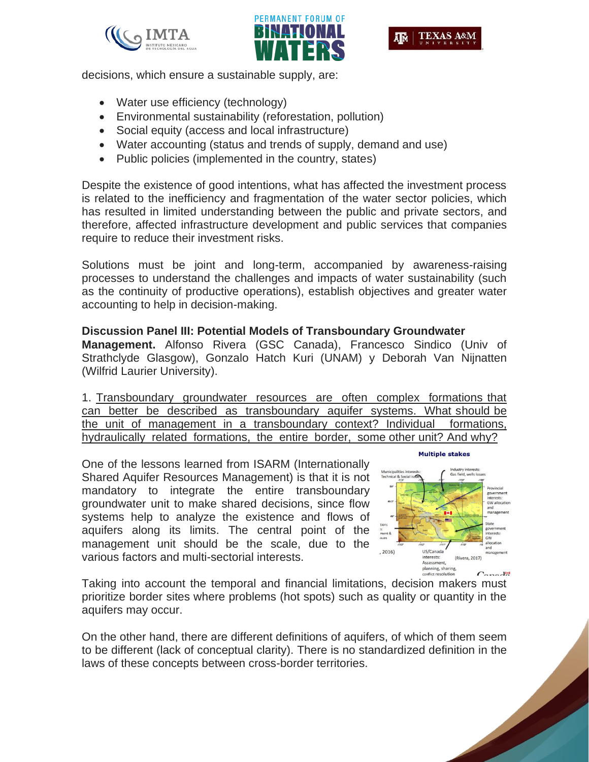



decisions, which ensure a sustainable supply, are:

- Water use efficiency (technology)
- Environmental sustainability (reforestation, pollution)
- Social equity (access and local infrastructure)
- Water accounting (status and trends of supply, demand and use)
- Public policies (implemented in the country, states)

Despite the existence of good intentions, what has affected the investment process is related to the inefficiency and fragmentation of the water sector policies, which has resulted in limited understanding between the public and private sectors, and therefore, affected infrastructure development and public services that companies require to reduce their investment risks.

Solutions must be joint and long-term, accompanied by awareness-raising processes to understand the challenges and impacts of water sustainability (such as the continuity of productive operations), establish objectives and greater water accounting to help in decision-making.

#### **Discussion Panel III: Potential Models of Transboundary Groundwater**

**Management.** Alfonso Rivera (GSC Canada), Francesco Sindico (Univ of Strathclyde Glasgow), Gonzalo Hatch Kuri (UNAM) y Deborah Van Nijnatten (Wilfrid Laurier University).

1. Transboundary groundwater resources are often complex formations that can better be described as transboundary aquifer systems. What should be the unit of management in a transboundary context? Individual formations, hydraulically related formations, the entire border, some other unit? And why?

One of the lessons learned from ISARM (Internationally Shared Aquifer Resources Management) is that it is not mandatory to integrate the entire transboundary groundwater unit to make shared decisions, since flow systems help to analyze the existence and flows of aquifers along its limits. The central point of the management unit should be the scale, due to the various factors and multi-sectorial interests.



**Multiple stakes** 

Taking into account the temporal and financial limitations, decision makers must prioritize border sites where problems (hot spots) such as quality or quantity in the aquifers may occur.

On the other hand, there are different definitions of aquifers, of which of them seem to be different (lack of conceptual clarity). There is no standardized definition in the laws of these concepts between cross-border territories.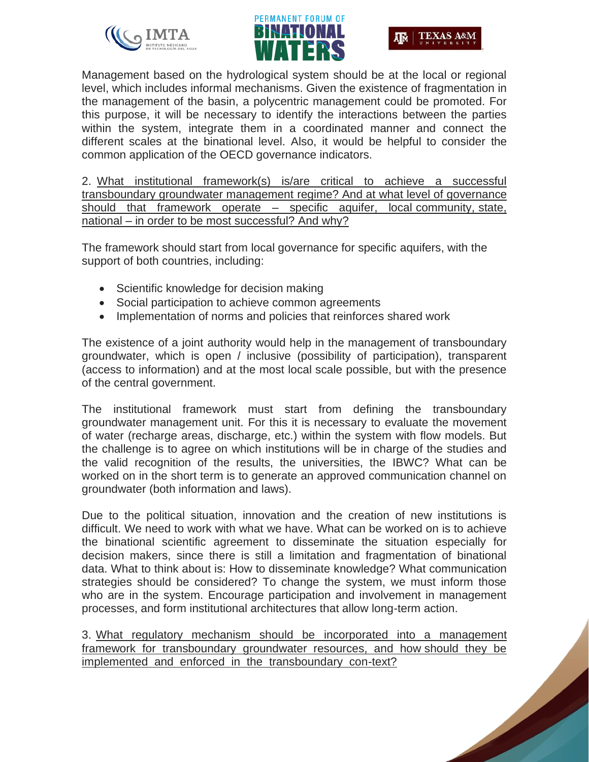





Management based on the hydrological system should be at the local or regional level, which includes informal mechanisms. Given the existence of fragmentation in the management of the basin, a polycentric management could be promoted. For this purpose, it will be necessary to identify the interactions between the parties within the system, integrate them in a coordinated manner and connect the different scales at the binational level. Also, it would be helpful to consider the common application of the OECD governance indicators.

2. What institutional framework(s) is/are critical to achieve a successful transboundary groundwater management regime? And at what level of governance should that framework operate – specific aquifer, local community, state, national – in order to be most successful? And why?

The framework should start from local governance for specific aquifers, with the support of both countries, including:

- Scientific knowledge for decision making
- Social participation to achieve common agreements
- Implementation of norms and policies that reinforces shared work

The existence of a joint authority would help in the management of transboundary groundwater, which is open / inclusive (possibility of participation), transparent (access to information) and at the most local scale possible, but with the presence of the central government.

The institutional framework must start from defining the transboundary groundwater management unit. For this it is necessary to evaluate the movement of water (recharge areas, discharge, etc.) within the system with flow models. But the challenge is to agree on which institutions will be in charge of the studies and the valid recognition of the results, the universities, the IBWC? What can be worked on in the short term is to generate an approved communication channel on groundwater (both information and laws).

Due to the political situation, innovation and the creation of new institutions is difficult. We need to work with what we have. What can be worked on is to achieve the binational scientific agreement to disseminate the situation especially for decision makers, since there is still a limitation and fragmentation of binational data. What to think about is: How to disseminate knowledge? What communication strategies should be considered? To change the system, we must inform those who are in the system. Encourage participation and involvement in management processes, and form institutional architectures that allow long-term action.

3. What regulatory mechanism should be incorporated into a management framework for transboundary groundwater resources, and how should they be implemented and enforced in the transboundary con-text?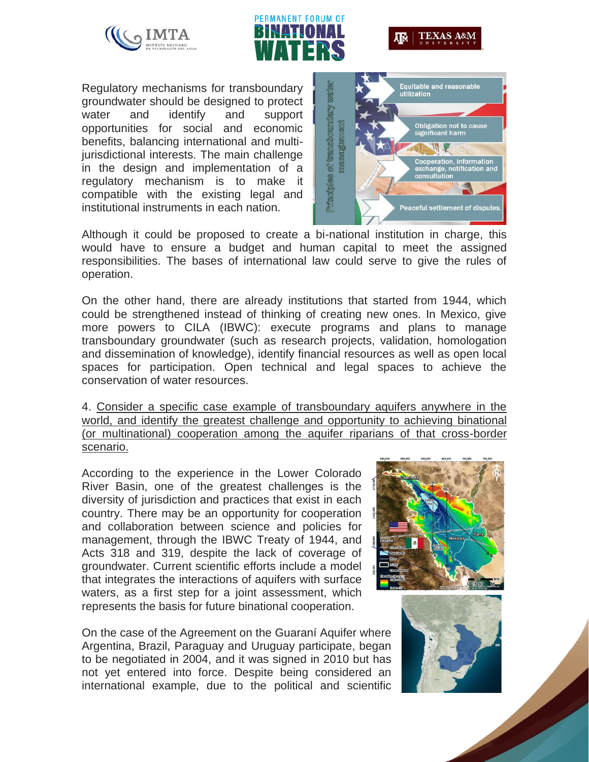





Regulatory mechanisms for transboundary groundwater should be designed to protect water and identify and support opportunities for social and economic benefits, balancing international and multijurisdictional interests. The main challenge in the design and implementation of a regulatory mechanism is to make it compatible with the existing legal and institutional instruments in each nation.



Although it could be proposed to create a bi-national institution in charge, this would have to ensure a budget and human capital to meet the assigned responsibilities. The bases of international law could serve to give the rules of operation.

On the other hand, there are already institutions that started from 1944, which could be strengthened instead of thinking of creating new ones. In Mexico, give more powers to CILA (IBWC): execute programs and plans to manage transboundary groundwater (such as research projects, validation, homologation and dissemination of knowledge), identify financial resources as well as open local spaces for participation. Open technical and legal spaces to achieve the conservation of water resources.

4. Consider a specific case example of transboundary aquifers anywhere in the world, and identify the greatest challenge and opportunity to achieving binational (or multinational) cooperation among the aquifer riparians of that cross-border scenario.

According to the experience in the Lower Colorado River Basin, one of the greatest challenges is the diversity of jurisdiction and practices that exist in each country. There may be an opportunity for cooperation and collaboration between science and policies for management, through the IBWC Treaty of 1944, and Acts 318 and 319, despite the lack of coverage of groundwater. Current scientific efforts include a model that integrates the interactions of aquifers with surface waters, as a first step for a joint assessment, which represents the basis for future binational cooperation.

On the case of the Agreement on the Guaraní Aquifer where Argentina, Brazil, Paraguay and Uruguay participate, began to be negotiated in 2004, and it was signed in 2010 but has not yet entered into force. Despite being considered an international example, due to the political and scientific



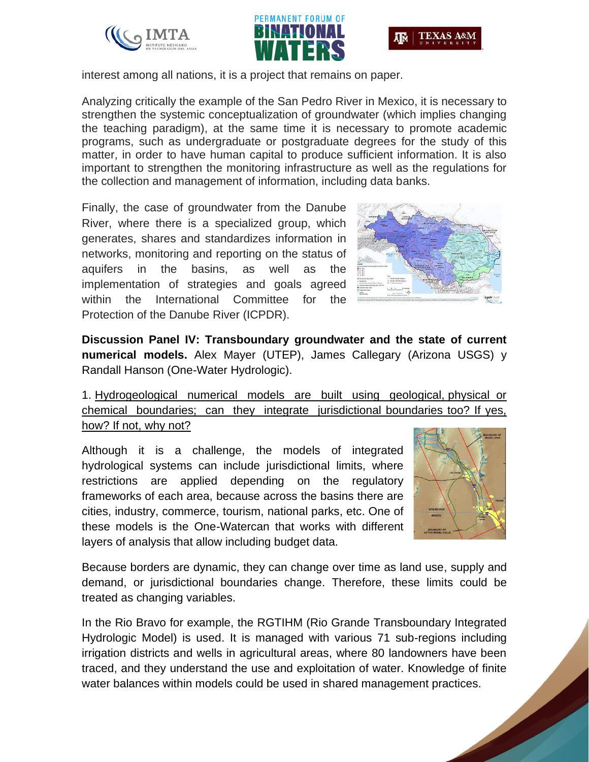





interest among all nations, it is a project that remains on paper.

Analyzing critically the example of the San Pedro River in Mexico, it is necessary to strengthen the systemic conceptualization of groundwater (which implies changing the teaching paradigm), at the same time it is necessary to promote academic programs, such as undergraduate or postgraduate degrees for the study of this matter, in order to have human capital to produce sufficient information. It is also important to strengthen the monitoring infrastructure as well as the regulations for the collection and management of information, including data banks.

Finally, the case of groundwater from the Danube River, where there is a specialized group, which generates, shares and standardizes information in networks, monitoring and reporting on the status of aquifers in the basins, as well as the implementation of strategies and goals agreed within the International Committee for the Protection of the Danube River (ICPDR).



**Discussion Panel IV: Transboundary groundwater and the state of current numerical models.** Alex Mayer (UTEP), James Callegary (Arizona USGS) y Randall Hanson (One-Water Hydrologic).

1. Hydrogeological numerical models are built using geological, physical or chemical boundaries; can they integrate jurisdictional boundaries too? If yes, how? If not, why not?

Although it is a challenge, the models of integrated hydrological systems can include jurisdictional limits, where restrictions are applied depending on the regulatory frameworks of each area, because across the basins there are cities, industry, commerce, tourism, national parks, etc. One of these models is the One-Watercan that works with different layers of analysis that allow including budget data.



Because borders are dynamic, they can change over time as land use, supply and demand, or jurisdictional boundaries change. Therefore, these limits could be treated as changing variables.

In the Rio Bravo for example, the RGTIHM (Rio Grande Transboundary Integrated Hydrologic Model) is used. It is managed with various 71 sub-regions including irrigation districts and wells in agricultural areas, where 80 landowners have been traced, and they understand the use and exploitation of water. Knowledge of finite water balances within models could be used in shared management practices.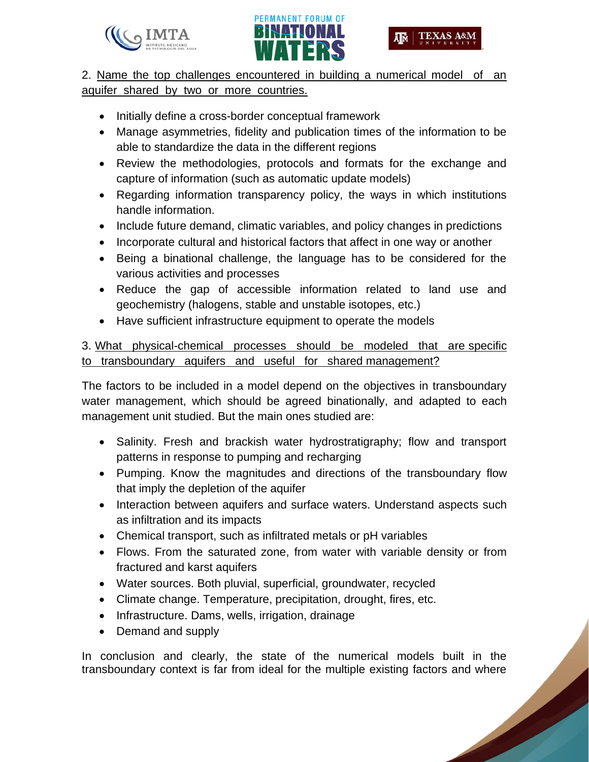



**SAN CONTROLLER** 

2. Name the top challenges encountered in building a numerical model of an aquifer shared by two or more countries.

- Initially define a cross-border conceptual framework
- Manage asymmetries, fidelity and publication times of the information to be able to standardize the data in the different regions
- Review the methodologies, protocols and formats for the exchange and capture of information (such as automatic update models)
- Regarding information transparency policy, the ways in which institutions handle information.
- Include future demand, climatic variables, and policy changes in predictions
- Incorporate cultural and historical factors that affect in one way or another
- Being a binational challenge, the language has to be considered for the various activities and processes
- Reduce the gap of accessible information related to land use and geochemistry (halogens, stable and unstable isotopes, etc.)
- Have sufficient infrastructure equipment to operate the models

3. What physical-chemical processes should be modeled that are specific to transboundary aquifers and useful for shared management?

The factors to be included in a model depend on the objectives in transboundary water management, which should be agreed binationally, and adapted to each management unit studied. But the main ones studied are:

- Salinity. Fresh and brackish water hydrostratigraphy; flow and transport patterns in response to pumping and recharging
- Pumping. Know the magnitudes and directions of the transboundary flow that imply the depletion of the aquifer
- Interaction between aquifers and surface waters. Understand aspects such as infiltration and its impacts
- Chemical transport, such as infiltrated metals or pH variables
- Flows. From the saturated zone, from water with variable density or from fractured and karst aquifers
- Water sources. Both pluvial, superficial, groundwater, recycled
- Climate change. Temperature, precipitation, drought, fires, etc.
- Infrastructure. Dams, wells, irrigation, drainage
- Demand and supply

In conclusion and clearly, the state of the numerical models built in the transboundary context is far from ideal for the multiple existing factors and where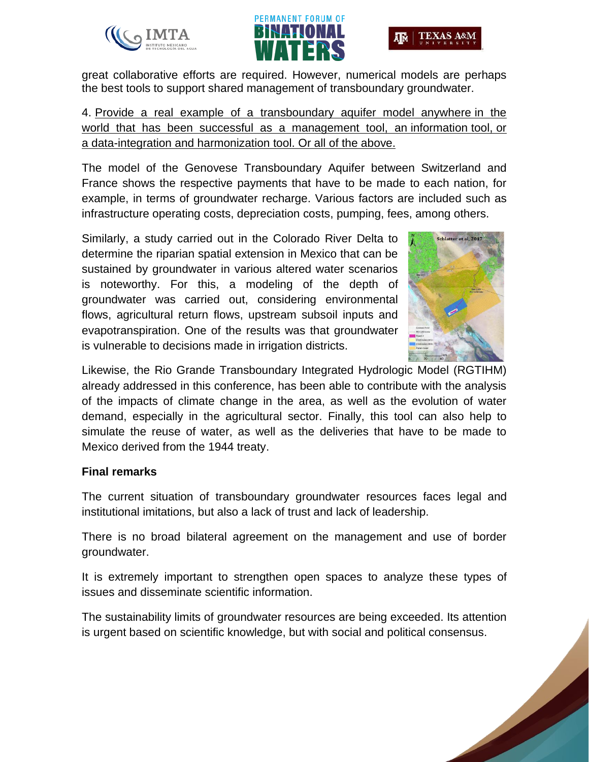



great collaborative efforts are required. However, numerical models are perhaps the best tools to support shared management of transboundary groundwater.

4. Provide a real example of a transboundary aquifer model anywhere in the world that has been successful as a management tool, an information tool, or a data-integration and harmonization tool. Or all of the above.

The model of the Genovese Transboundary Aquifer between Switzerland and France shows the respective payments that have to be made to each nation, for example, in terms of groundwater recharge. Various factors are included such as infrastructure operating costs, depreciation costs, pumping, fees, among others.

Similarly, a study carried out in the Colorado River Delta to determine the riparian spatial extension in Mexico that can be sustained by groundwater in various altered water scenarios is noteworthy. For this, a modeling of the depth of groundwater was carried out, considering environmental flows, agricultural return flows, upstream subsoil inputs and evapotranspiration. One of the results was that groundwater is vulnerable to decisions made in irrigation districts.



Likewise, the Rio Grande Transboundary Integrated Hydrologic Model (RGTIHM) already addressed in this conference, has been able to contribute with the analysis of the impacts of climate change in the area, as well as the evolution of water demand, especially in the agricultural sector. Finally, this tool can also help to simulate the reuse of water, as well as the deliveries that have to be made to Mexico derived from the 1944 treaty.

# **Final remarks**

The current situation of transboundary groundwater resources faces legal and institutional imitations, but also a lack of trust and lack of leadership.

There is no broad bilateral agreement on the management and use of border groundwater.

It is extremely important to strengthen open spaces to analyze these types of issues and disseminate scientific information.

The sustainability limits of groundwater resources are being exceeded. Its attention is urgent based on scientific knowledge, but with social and political consensus.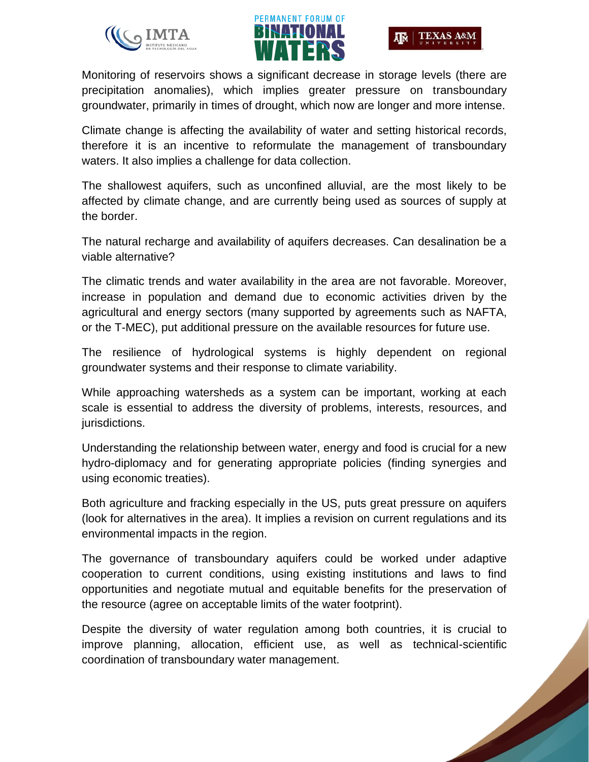



Monitoring of reservoirs shows a significant decrease in storage levels (there are precipitation anomalies), which implies greater pressure on transboundary groundwater, primarily in times of drought, which now are longer and more intense.

Climate change is affecting the availability of water and setting historical records, therefore it is an incentive to reformulate the management of transboundary waters. It also implies a challenge for data collection.

The shallowest aquifers, such as unconfined alluvial, are the most likely to be affected by climate change, and are currently being used as sources of supply at the border.

The natural recharge and availability of aquifers decreases. Can desalination be a viable alternative?

The climatic trends and water availability in the area are not favorable. Moreover, increase in population and demand due to economic activities driven by the agricultural and energy sectors (many supported by agreements such as NAFTA, or the T-MEC), put additional pressure on the available resources for future use.

The resilience of hydrological systems is highly dependent on regional groundwater systems and their response to climate variability.

While approaching watersheds as a system can be important, working at each scale is essential to address the diversity of problems, interests, resources, and jurisdictions.

Understanding the relationship between water, energy and food is crucial for a new hydro-diplomacy and for generating appropriate policies (finding synergies and using economic treaties).

Both agriculture and fracking especially in the US, puts great pressure on aquifers (look for alternatives in the area). It implies a revision on current regulations and its environmental impacts in the region.

The governance of transboundary aquifers could be worked under adaptive cooperation to current conditions, using existing institutions and laws to find opportunities and negotiate mutual and equitable benefits for the preservation of the resource (agree on acceptable limits of the water footprint).

Despite the diversity of water regulation among both countries, it is crucial to improve planning, allocation, efficient use, as well as technical-scientific coordination of transboundary water management.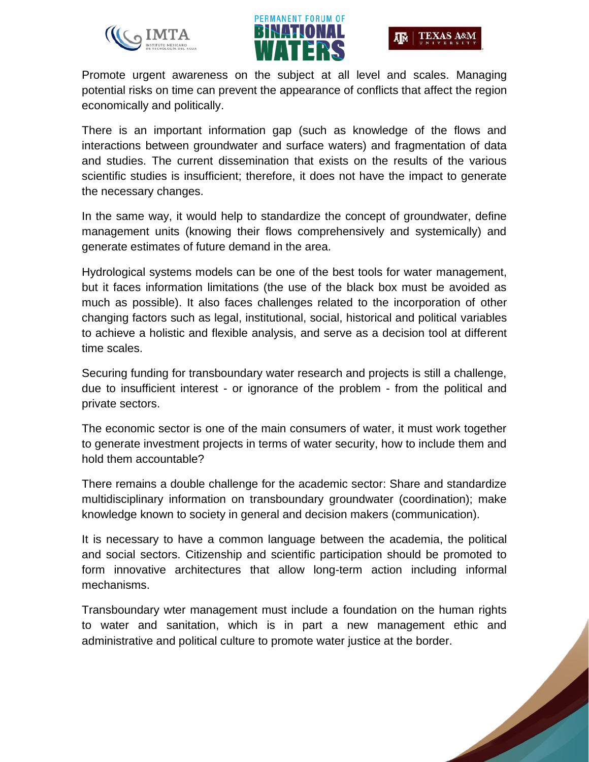





Promote urgent awareness on the subject at all level and scales. Managing potential risks on time can prevent the appearance of conflicts that affect the region economically and politically.

There is an important information gap (such as knowledge of the flows and interactions between groundwater and surface waters) and fragmentation of data and studies. The current dissemination that exists on the results of the various scientific studies is insufficient; therefore, it does not have the impact to generate the necessary changes.

In the same way, it would help to standardize the concept of groundwater, define management units (knowing their flows comprehensively and systemically) and generate estimates of future demand in the area.

Hydrological systems models can be one of the best tools for water management, but it faces information limitations (the use of the black box must be avoided as much as possible). It also faces challenges related to the incorporation of other changing factors such as legal, institutional, social, historical and political variables to achieve a holistic and flexible analysis, and serve as a decision tool at different time scales.

Securing funding for transboundary water research and projects is still a challenge, due to insufficient interest - or ignorance of the problem - from the political and private sectors.

The economic sector is one of the main consumers of water, it must work together to generate investment projects in terms of water security, how to include them and hold them accountable?

There remains a double challenge for the academic sector: Share and standardize multidisciplinary information on transboundary groundwater (coordination); make knowledge known to society in general and decision makers (communication).

It is necessary to have a common language between the academia, the political and social sectors. Citizenship and scientific participation should be promoted to form innovative architectures that allow long-term action including informal mechanisms.

Transboundary wter management must include a foundation on the human rights to water and sanitation, which is in part a new management ethic and administrative and political culture to promote water justice at the border.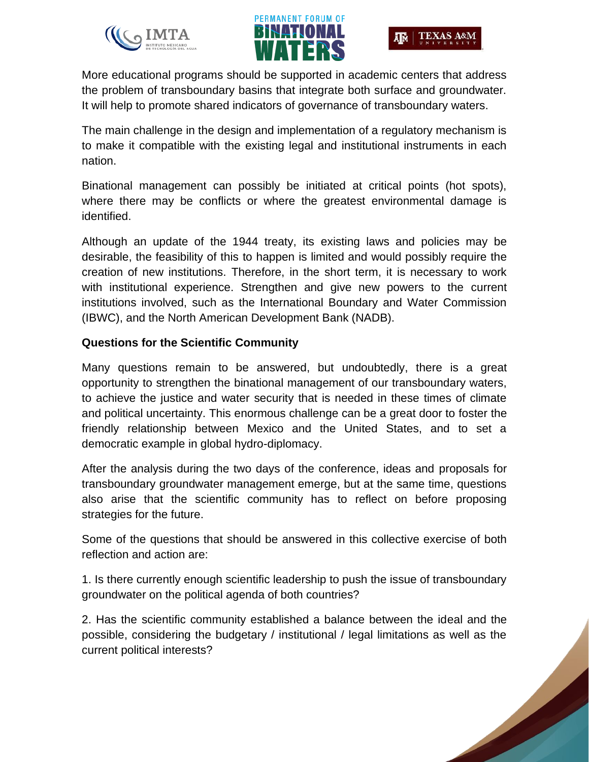



More educational programs should be supported in academic centers that address the problem of transboundary basins that integrate both surface and groundwater. It will help to promote shared indicators of governance of transboundary waters.

The main challenge in the design and implementation of a regulatory mechanism is to make it compatible with the existing legal and institutional instruments in each nation.

Binational management can possibly be initiated at critical points (hot spots), where there may be conflicts or where the greatest environmental damage is identified.

Although an update of the 1944 treaty, its existing laws and policies may be desirable, the feasibility of this to happen is limited and would possibly require the creation of new institutions. Therefore, in the short term, it is necessary to work with institutional experience. Strengthen and give new powers to the current institutions involved, such as the International Boundary and Water Commission (IBWC), and the North American Development Bank (NADB).

## **Questions for the Scientific Community**

Many questions remain to be answered, but undoubtedly, there is a great opportunity to strengthen the binational management of our transboundary waters, to achieve the justice and water security that is needed in these times of climate and political uncertainty. This enormous challenge can be a great door to foster the friendly relationship between Mexico and the United States, and to set a democratic example in global hydro-diplomacy.

After the analysis during the two days of the conference, ideas and proposals for transboundary groundwater management emerge, but at the same time, questions also arise that the scientific community has to reflect on before proposing strategies for the future.

Some of the questions that should be answered in this collective exercise of both reflection and action are:

1. Is there currently enough scientific leadership to push the issue of transboundary groundwater on the political agenda of both countries?

2. Has the scientific community established a balance between the ideal and the possible, considering the budgetary / institutional / legal limitations as well as the current political interests?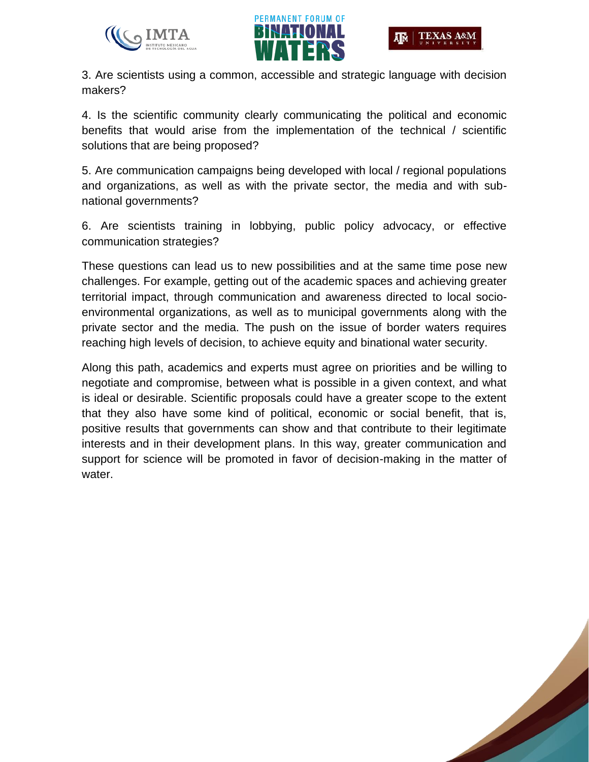



3. Are scientists using a common, accessible and strategic language with decision makers?

4. Is the scientific community clearly communicating the political and economic benefits that would arise from the implementation of the technical / scientific solutions that are being proposed?

5. Are communication campaigns being developed with local / regional populations and organizations, as well as with the private sector, the media and with subnational governments?

6. Are scientists training in lobbying, public policy advocacy, or effective communication strategies?

These questions can lead us to new possibilities and at the same time pose new challenges. For example, getting out of the academic spaces and achieving greater territorial impact, through communication and awareness directed to local socioenvironmental organizations, as well as to municipal governments along with the private sector and the media. The push on the issue of border waters requires reaching high levels of decision, to achieve equity and binational water security.

Along this path, academics and experts must agree on priorities and be willing to negotiate and compromise, between what is possible in a given context, and what is ideal or desirable. Scientific proposals could have a greater scope to the extent that they also have some kind of political, economic or social benefit, that is, positive results that governments can show and that contribute to their legitimate interests and in their development plans. In this way, greater communication and support for science will be promoted in favor of decision-making in the matter of water.